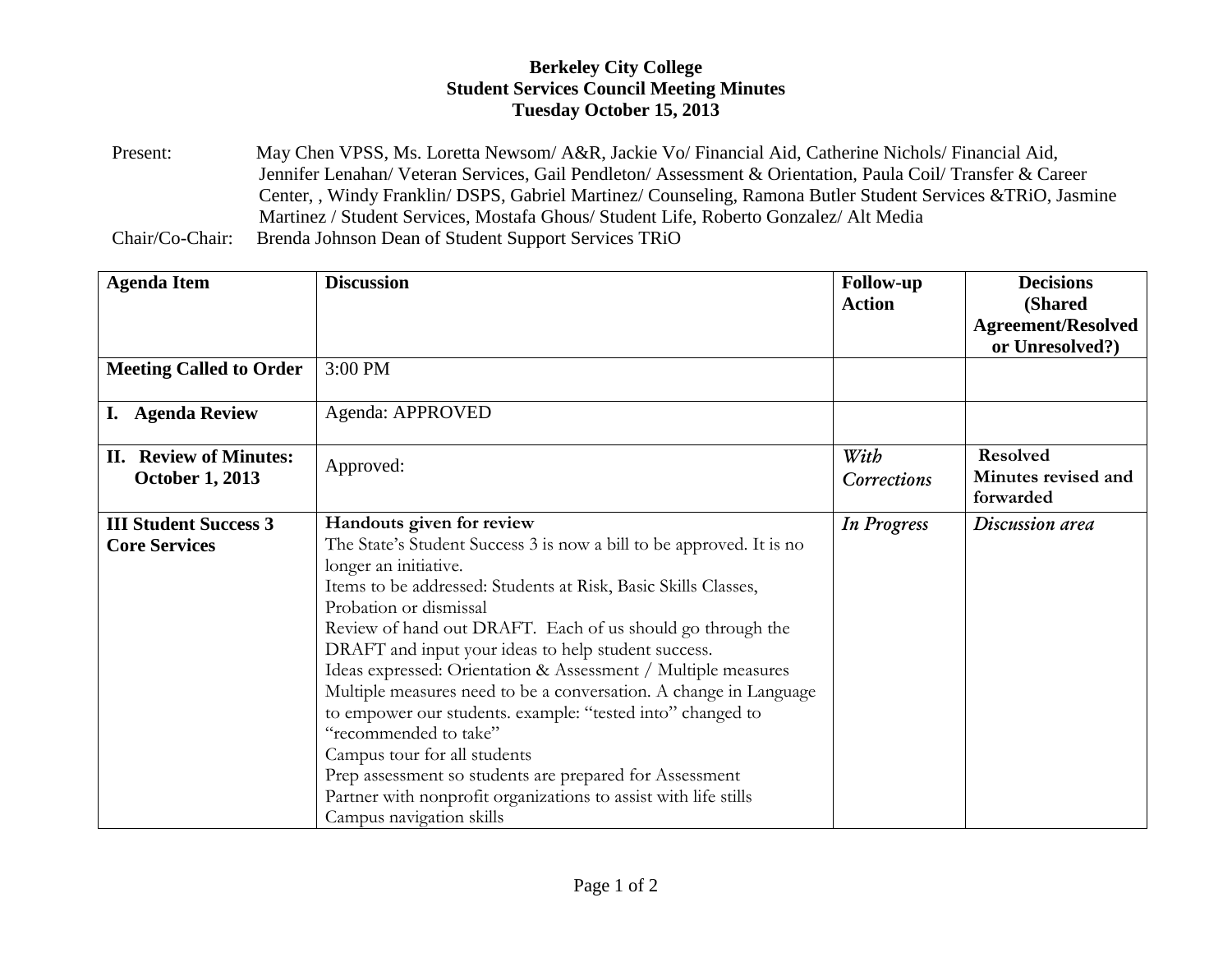## **Berkeley City College Student Services Council Meeting Minutes Tuesday October 15, 2013**

Present: May Chen VPSS, Ms. Loretta Newsom/ A&R, Jackie Vo/ Financial Aid, Catherine Nichols/ Financial Aid, Jennifer Lenahan/ Veteran Services, Gail Pendleton/ Assessment & Orientation, Paula Coil/ Transfer & Career Center, , Windy Franklin/ DSPS, Gabriel Martinez/ Counseling, Ramona Butler Student Services &TRiO, Jasmine Martinez / Student Services, Mostafa Ghous/ Student Life, Roberto Gonzalez/ Alt Media

Chair/Co-Chair: Brenda Johnson Dean of Student Support Services TRiO

| <b>Agenda Item</b>                                      | <b>Discussion</b>                                                                                                                                                                                                                                                                                                                                                                                                                                                                                                                                                                                                                                                                                                                                                  | <b>Follow-up</b><br><b>Action</b> | <b>Decisions</b><br>(Shared<br><b>Agreement/Resolved</b><br>or Unresolved?) |
|---------------------------------------------------------|--------------------------------------------------------------------------------------------------------------------------------------------------------------------------------------------------------------------------------------------------------------------------------------------------------------------------------------------------------------------------------------------------------------------------------------------------------------------------------------------------------------------------------------------------------------------------------------------------------------------------------------------------------------------------------------------------------------------------------------------------------------------|-----------------------------------|-----------------------------------------------------------------------------|
| <b>Meeting Called to Order</b>                          | 3:00 PM                                                                                                                                                                                                                                                                                                                                                                                                                                                                                                                                                                                                                                                                                                                                                            |                                   |                                                                             |
| I. Agenda Review                                        | Agenda: APPROVED                                                                                                                                                                                                                                                                                                                                                                                                                                                                                                                                                                                                                                                                                                                                                   |                                   |                                                                             |
| <b>II. Review of Minutes:</b><br><b>October 1, 2013</b> | Approved:                                                                                                                                                                                                                                                                                                                                                                                                                                                                                                                                                                                                                                                                                                                                                          | With<br>Corrections               | <b>Resolved</b><br>Minutes revised and<br>forwarded                         |
| <b>III Student Success 3</b><br><b>Core Services</b>    | Handouts given for review<br>The State's Student Success 3 is now a bill to be approved. It is no<br>longer an initiative.<br>Items to be addressed: Students at Risk, Basic Skills Classes,<br>Probation or dismissal<br>Review of hand out DRAFT. Each of us should go through the<br>DRAFT and input your ideas to help student success.<br>Ideas expressed: Orientation & Assessment / Multiple measures<br>Multiple measures need to be a conversation. A change in Language<br>to empower our students. example: "tested into" changed to<br>"recommended to take"<br>Campus tour for all students<br>Prep assessment so students are prepared for Assessment<br>Partner with nonprofit organizations to assist with life stills<br>Campus navigation skills | <b>In Progress</b>                | Discussion area                                                             |